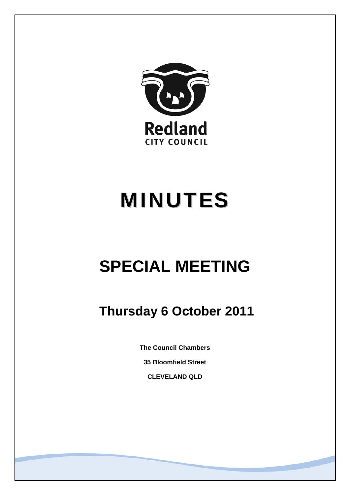

# MINUTES

## **SPECIAL MEETING**

### **Thursday 6 October 2011**

**The Council Chambers** 

**35 Bloomfield Street** 

**CLEVELAND QLD**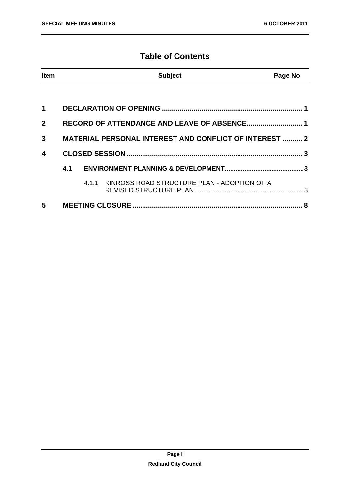#### **Table of Contents**

| <b>Item</b>             |                                                               |  | <b>Subject</b>                                    | Page No |
|-------------------------|---------------------------------------------------------------|--|---------------------------------------------------|---------|
|                         |                                                               |  |                                                   |         |
| 1                       |                                                               |  |                                                   |         |
| $\mathbf{2}$            |                                                               |  |                                                   |         |
| 3                       | <b>MATERIAL PERSONAL INTEREST AND CONFLICT OF INTEREST  2</b> |  |                                                   |         |
| $\overline{\mathbf{4}}$ |                                                               |  |                                                   |         |
|                         | 4.1                                                           |  |                                                   |         |
|                         |                                                               |  | 4.1.1 KINROSS ROAD STRUCTURE PLAN - ADOPTION OF A |         |
| 5                       |                                                               |  |                                                   |         |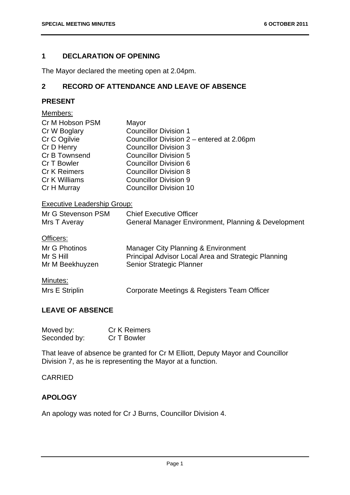#### <span id="page-2-0"></span>**1 DECLARATION OF OPENING**

The Mayor declared the meeting open at 2.04pm.

#### **2 RECORD OF ATTENDANCE AND LEAVE OF ABSENCE**

#### **PRESENT**

| Members:                           |                                                                                       |
|------------------------------------|---------------------------------------------------------------------------------------|
| Cr M Hobson PSM                    | Mayor                                                                                 |
| Cr W Boglary                       | <b>Councillor Division 1</b>                                                          |
| Cr C Ogilvie                       | Councillor Division 2 – entered at 2.06pm                                             |
| Cr D Henry                         | <b>Councillor Division 3</b>                                                          |
| Cr B Townsend                      | <b>Councillor Division 5</b>                                                          |
| Cr T Bowler                        | Councillor Division 6                                                                 |
| <b>Cr K Reimers</b>                | <b>Councillor Division 8</b>                                                          |
| Cr K Williams                      | <b>Councillor Division 9</b>                                                          |
| Cr H Murray                        | <b>Councillor Division 10</b>                                                         |
| <b>Executive Leadership Group:</b> |                                                                                       |
| Mr G Stevenson PSM<br>Mrs T Averay | <b>Chief Executive Officer</b><br>General Manager Environment, Planning & Development |

#### Officers:

| Mr G Photinos   | Manager City Planning & Environment                 |
|-----------------|-----------------------------------------------------|
| Mr S Hill       | Principal Advisor Local Area and Strategic Planning |
| Mr M Beekhuyzen | <b>Senior Strategic Planner</b>                     |

#### Minutes:

Mrs E Striplin Corporate Meetings & Registers Team Officer

#### **LEAVE OF ABSENCE**

| Moved by:    | <b>Cr K Reimers</b> |
|--------------|---------------------|
| Seconded by: | Cr T Bowler         |

That leave of absence be granted for Cr M Elliott, Deputy Mayor and Councillor Division 7, as he is representing the Mayor at a function.

#### CARRIED

#### **APOLOGY**

An apology was noted for Cr J Burns, Councillor Division 4.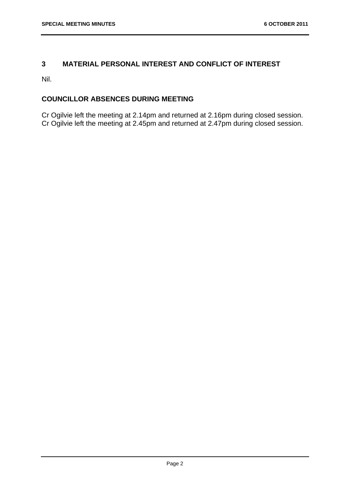#### <span id="page-3-0"></span>**3 MATERIAL PERSONAL INTEREST AND CONFLICT OF INTEREST**

Nil.

#### **COUNCILLOR ABSENCES DURING MEETING**

Cr Ogilvie left the meeting at 2.14pm and returned at 2.16pm during closed session. Cr Ogilvie left the meeting at 2.45pm and returned at 2.47pm during closed session.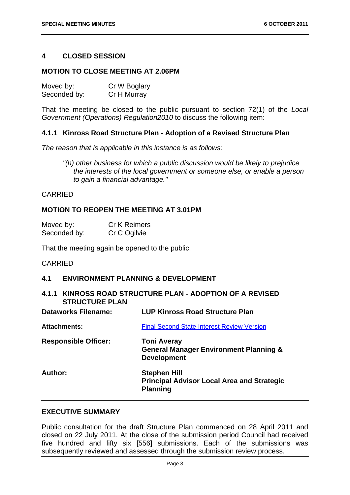#### <span id="page-4-0"></span>**4 CLOSED SESSION**

#### **MOTION TO CLOSE MEETING AT 2.06PM**

| Moved by:    | Cr W Boglary |
|--------------|--------------|
| Seconded by: | Cr H Murray  |

That the meeting be closed to the public pursuant to section 72(1) of the *Local Government (Operations) Regulation2010* to discuss the following item:

#### **4.1.1 Kinross Road Structure Plan - Adoption of a Revised Structure Plan**

*The reason that is applicable in this instance is as follows:* 

*"(h) other business for which a public discussion would be likely to prejudice the interests of the local government or someone else, or enable a person to gain a financial advantage."* 

#### CARRIED

#### **MOTION TO REOPEN THE MEETING AT 3.01PM**

| Moved by:    | <b>Cr K Reimers</b> |
|--------------|---------------------|
| Seconded by: | Cr C Ogilvie        |

That the meeting again be opened to the public.

#### CARRIED

#### **4.1 ENVIRONMENT PLANNING & DEVELOPMENT**

#### **4.1.1 KINROSS ROAD STRUCTURE PLAN - ADOPTION OF A REVISED STRUCTURE PLAN**

| <b>Dataworks Filename:</b>  | <b>LUP Kinross Road Structure Plan</b>                                                        |
|-----------------------------|-----------------------------------------------------------------------------------------------|
| <b>Attachments:</b>         | <b>Final Second State Interest Review Version</b>                                             |
| <b>Responsible Officer:</b> | <b>Toni Averay</b><br><b>General Manager Environment Planning &amp;</b><br><b>Development</b> |
| Author:                     | <b>Stephen Hill</b><br><b>Principal Advisor Local Area and Strategic</b><br><b>Planning</b>   |

#### **EXECUTIVE SUMMARY**

Public consultation for the draft Structure Plan commenced on 28 April 2011 and closed on 22 July 2011. At the close of the submission period Council had received five hundred and fifty six [556] submissions. Each of the submissions was subsequently reviewed and assessed through the submission review process.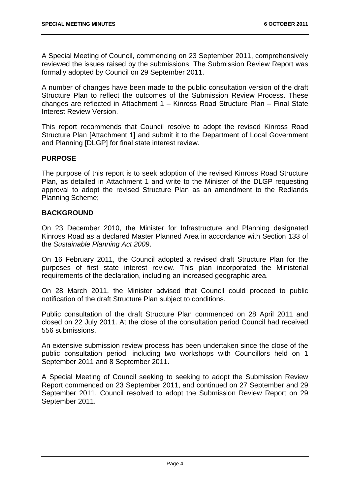A Special Meeting of Council, commencing on 23 September 2011, comprehensively reviewed the issues raised by the submissions. The Submission Review Report was formally adopted by Council on 29 September 2011.

A number of changes have been made to the public consultation version of the draft Structure Plan to reflect the outcomes of the Submission Review Process. These changes are reflected in Attachment 1 – Kinross Road Structure Plan – Final State Interest Review Version.

This report recommends that Council resolve to adopt the revised Kinross Road Structure Plan [Attachment 1] and submit it to the Department of Local Government and Planning [DLGP] for final state interest review.

#### **PURPOSE**

The purpose of this report is to seek adoption of the revised Kinross Road Structure Plan, as detailed in Attachment 1 and write to the Minister of the DLGP requesting approval to adopt the revised Structure Plan as an amendment to the Redlands Planning Scheme;

#### **BACKGROUND**

On 23 December 2010, the Minister for Infrastructure and Planning designated Kinross Road as a declared Master Planned Area in accordance with Section 133 of the *Sustainable Planning Act 2009*.

On 16 February 2011, the Council adopted a revised draft Structure Plan for the purposes of first state interest review. This plan incorporated the Ministerial requirements of the declaration, including an increased geographic area.

On 28 March 2011, the Minister advised that Council could proceed to public notification of the draft Structure Plan subject to conditions.

Public consultation of the draft Structure Plan commenced on 28 April 2011 and closed on 22 July 2011. At the close of the consultation period Council had received 556 submissions.

An extensive submission review process has been undertaken since the close of the public consultation period, including two workshops with Councillors held on 1 September 2011 and 8 September 2011.

A Special Meeting of Council seeking to seeking to adopt the Submission Review Report commenced on 23 September 2011, and continued on 27 September and 29 September 2011. Council resolved to adopt the Submission Review Report on 29 September 2011.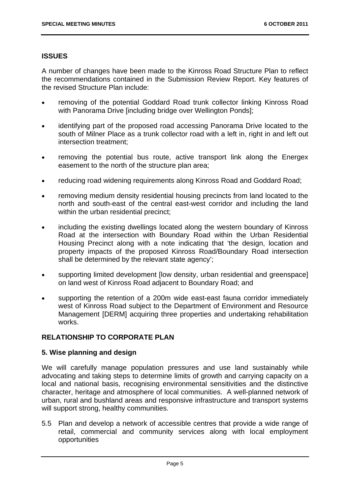#### **ISSUES**

A number of changes have been made to the Kinross Road Structure Plan to reflect the recommendations contained in the Submission Review Report. Key features of the revised Structure Plan include:

- removing of the potential Goddard Road trunk collector linking Kinross Road with Panorama Drive [including bridge over Wellington Ponds];
- identifying part of the proposed road accessing Panorama Drive located to the south of Milner Place as a trunk collector road with a left in, right in and left out intersection treatment;
- removing the potential bus route, active transport link along the Energex easement to the north of the structure plan area;
- reducing road widening requirements along Kinross Road and Goddard Road;
- removing medium density residential housing precincts from land located to the north and south-east of the central east-west corridor and including the land within the urban residential precinct;
- including the existing dwellings located along the western boundary of Kinross Road at the intersection with Boundary Road within the Urban Residential Housing Precinct along with a note indicating that 'the design, location and property impacts of the proposed Kinross Road/Boundary Road intersection shall be determined by the relevant state agency';
- supporting limited development [low density, urban residential and greenspace] on land west of Kinross Road adjacent to Boundary Road; and
- supporting the retention of a 200m wide east-east fauna corridor immediately west of Kinross Road subject to the Department of Environment and Resource Management [DERM] acquiring three properties and undertaking rehabilitation works.

#### **RELATIONSHIP TO CORPORATE PLAN**

#### **5. Wise planning and design**

We will carefully manage population pressures and use land sustainably while advocating and taking steps to determine limits of growth and carrying capacity on a local and national basis, recognising environmental sensitivities and the distinctive character, heritage and atmosphere of local communities. A well-planned network of urban, rural and bushland areas and responsive infrastructure and transport systems will support strong, healthy communities.

5.5 Plan and develop a network of accessible centres that provide a wide range of retail, commercial and community services along with local employment opportunities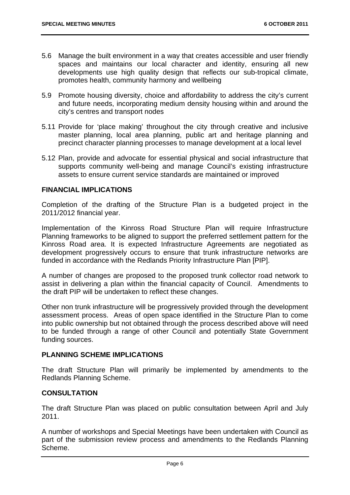- 5.6 Manage the built environment in a way that creates accessible and user friendly spaces and maintains our local character and identity, ensuring all new developments use high quality design that reflects our sub-tropical climate, promotes health, community harmony and wellbeing
- 5.9 Promote housing diversity, choice and affordability to address the city's current and future needs, incorporating medium density housing within and around the city's centres and transport nodes
- 5.11 Provide for 'place making' throughout the city through creative and inclusive master planning, local area planning, public art and heritage planning and precinct character planning processes to manage development at a local level
- 5.12 Plan, provide and advocate for essential physical and social infrastructure that supports community well-being and manage Council's existing infrastructure assets to ensure current service standards are maintained or improved

#### **FINANCIAL IMPLICATIONS**

Completion of the drafting of the Structure Plan is a budgeted project in the 2011/2012 financial year.

Implementation of the Kinross Road Structure Plan will require Infrastructure Planning frameworks to be aligned to support the preferred settlement pattern for the Kinross Road area. It is expected Infrastructure Agreements are negotiated as development progressively occurs to ensure that trunk infrastructure networks are funded in accordance with the Redlands Priority Infrastructure Plan [PIP].

A number of changes are proposed to the proposed trunk collector road network to assist in delivering a plan within the financial capacity of Council. Amendments to the draft PIP will be undertaken to reflect these changes.

Other non trunk infrastructure will be progressively provided through the development assessment process. Areas of open space identified in the Structure Plan to come into public ownership but not obtained through the process described above will need to be funded through a range of other Council and potentially State Government funding sources.

#### **PLANNING SCHEME IMPLICATIONS**

The draft Structure Plan will primarily be implemented by amendments to the Redlands Planning Scheme.

#### **CONSULTATION**

The draft Structure Plan was placed on public consultation between April and July 2011.

A number of workshops and Special Meetings have been undertaken with Council as part of the submission review process and amendments to the Redlands Planning Scheme.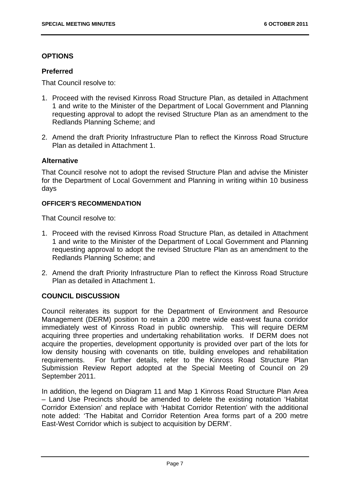#### **OPTIONS**

#### **Preferred**

That Council resolve to:

- 1. Proceed with the revised Kinross Road Structure Plan, as detailed in Attachment 1 and write to the Minister of the Department of Local Government and Planning requesting approval to adopt the revised Structure Plan as an amendment to the Redlands Planning Scheme; and
- 2. Amend the draft Priority Infrastructure Plan to reflect the Kinross Road Structure Plan as detailed in Attachment 1.

#### **Alternative**

That Council resolve not to adopt the revised Structure Plan and advise the Minister for the Department of Local Government and Planning in writing within 10 business days

#### **OFFICER'S RECOMMENDATION**

That Council resolve to:

- 1. Proceed with the revised Kinross Road Structure Plan, as detailed in Attachment 1 and write to the Minister of the Department of Local Government and Planning requesting approval to adopt the revised Structure Plan as an amendment to the Redlands Planning Scheme; and
- 2. Amend the draft Priority Infrastructure Plan to reflect the Kinross Road Structure Plan as detailed in Attachment 1.

#### **COUNCIL DISCUSSION**

Council reiterates its support for the Department of Environment and Resource Management (DERM) position to retain a 200 metre wide east-west fauna corridor immediately west of Kinross Road in public ownership. This will require DERM acquiring three properties and undertaking rehabilitation works. If DERM does not acquire the properties, development opportunity is provided over part of the lots for low density housing with covenants on title, building envelopes and rehabilitation requirements. For further details, refer to the Kinross Road Structure Plan Submission Review Report adopted at the Special Meeting of Council on 29 September 2011.

In addition, the legend on Diagram 11 and Map 1 Kinross Road Structure Plan Area – Land Use Precincts should be amended to delete the existing notation 'Habitat Corridor Extension' and replace with 'Habitat Corridor Retention' with the additional note added: 'The Habitat and Corridor Retention Area forms part of a 200 metre East-West Corridor which is subject to acquisition by DERM'.